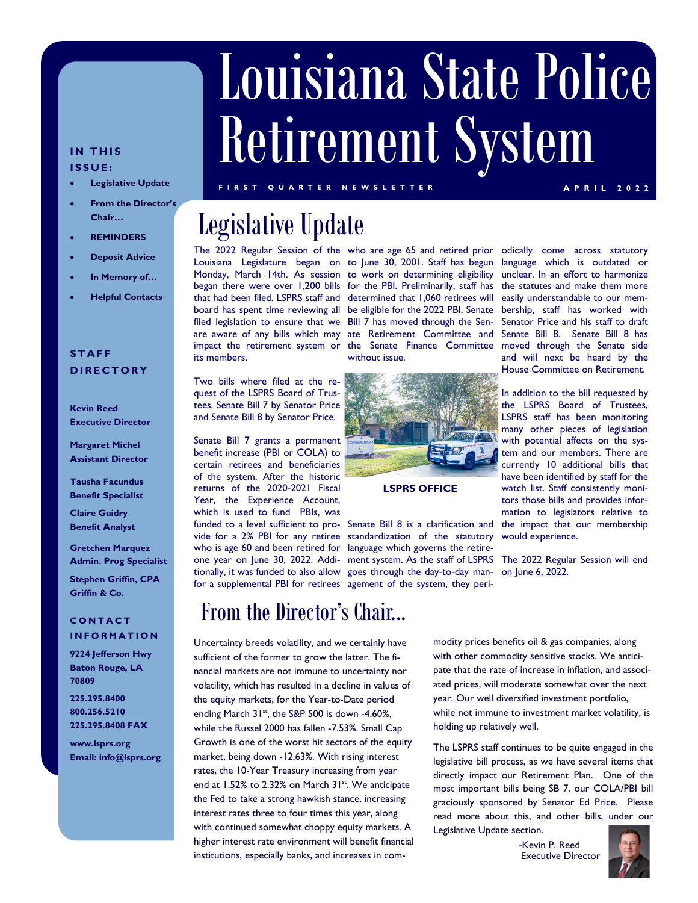# Louisiana State Police Retirement System

#### **IN THIS ISSUE:**

- **Legislative Update**
- **From the Director's Chair…**
- **REMINDERS**
- **Deposit Advice**
- **In Memory of…**
- **Helpful Contacts**

#### **STAFF DIRECTORY**

**Kevin Reed Executive Director** 

**Margaret Michel Assistant Director** 

**Tausha Facundus Benefit Specialist** 

**Claire Guidry Benefit Analyst** 

**Gretchen Marquez Admin. Prog Specialist** 

**Stephen Griffin, CPA Griffin & Co.** 

#### **CONTACT INFORMATION**

**225.295.8400 800.256.5210 225.295.8408 FAX 9224 Jefferson Hwy Baton Rouge, LA 70809** 

**www.lsprs.org Email: info@lsprs.org**  **FIRST QUARTER NEWSLETTER APRIL 2022** 

# Legislative Update

filed legislation to ensure that we Bill 7 has moved through the Senits members.

Two bills where filed at the request of the LSPRS Board of Trustees. Senate Bill 7 by Senator Price and Senate Bill 8 by Senator Price.

Senate Bill 7 grants a permanent benefit increase (PBI or COLA) to certain retirees and beneficiaries of the system. After the historic returns of the 2020-2021 Fiscal Year, the Experience Account, which is used to fund PBIs, was funded to a level sufficient to pro-Senate Bill 8 is a clarification and vide for a 2% PBI for any retiree standardization of the statutory who is age 60 and been retired for language which governs the retireone year on June 30, 2022. Addi-ment system. As the staff of LSPRS tionally, it was funded to also allow goes through the day-to-day manfor a supplemental PBI for retirees agement of the system, they peri-

# From the Director's Chair...

Uncertainty breeds volatility, and we certainly have sufficient of the former to grow the latter. The financial markets are not immune to uncertainty nor volatility, which has resulted in a decline in values of the equity markets, for the Year-to-Date period ending March 31<sup>st</sup>, the S&P 500 is down -4.60%, while the Russel 2000 has fallen -7.53%. Small Cap Growth is one of the worst hit sectors of the equity market, being down -12.63%. With rising interest rates, the 10-Year Treasury increasing from year end at 1.52% to 2.32% on March 31<sup>st</sup>. We anticipate the Fed to take a strong hawkish stance, increasing interest rates three to four times this year, along with continued somewhat choppy equity markets. A higher interest rate environment will benefit financial institutions, especially banks, and increases in com-

The 2022 Regular Session of the who are age 65 and retired prior odically come across statutory Louisiana Legislature began on to June 30, 2001. Staff has begun language which is outdated or Monday, March 14th. As session to work on determining eligibility began there were over 1,200 bills for the PBI. Preliminarily, staff has that had been filed. LSPRS staff and determined that 1,060 retirees will board has spent time reviewing all be eligible for the 2022 PBI. Senate are aware of any bills which may ate Retirement Committee and impact the retirement system or the Senate Finance Committee without issue.



**LSPRS OFFICE** 

unclear. In an effort to harmonize the statutes and make them more easily understandable to our membership, staff has worked with Senator Price and his staff to draft Senate Bill 8. Senate Bill 8 has moved through the Senate side and will next be heard by the House Committee on Retirement.

In addition to the bill requested by the LSPRS Board of Trustees, LSPRS staff has been monitoring many other pieces of legislation with potential affects on the system and our members. There are currently 10 additional bills that have been identified by staff for the watch list. Staff consistently monitors those bills and provides information to legislators relative to the impact that our membership would experience.

The 2022 Regular Session will end on June 6, 2022.

modity prices benefits oil & gas companies, along with other commodity sensitive stocks. We anticipate that the rate of increase in inflation, and associated prices, will moderate somewhat over the next year. Our well diversified investment portfolio, while not immune to investment market volatility, is holding up relatively well.

The LSPRS staff continues to be quite engaged in the legislative bill process, as we have several items that directly impact our Retirement Plan. One of the most important bills being SB 7, our COLA/PBI bill graciously sponsored by Senator Ed Price. Please read more about this, and other bills, under our Legislative Update section.

> -Kevin P. Reed Executive Director